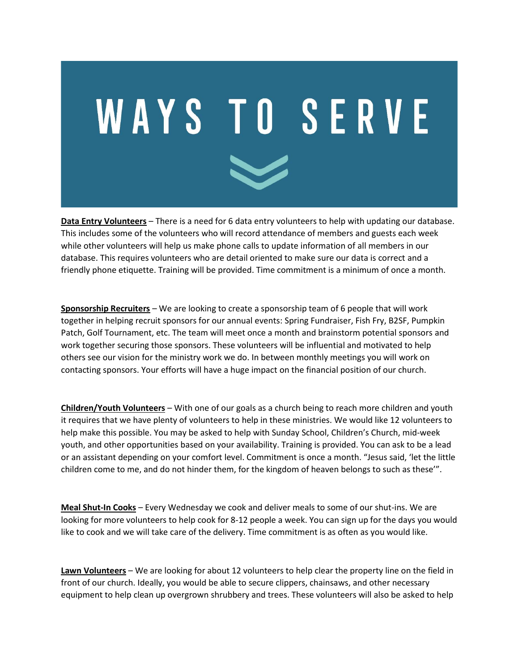

**Data Entry Volunteers** – There is a need for 6 data entry volunteers to help with updating our database. This includes some of the volunteers who will record attendance of members and guests each week while other volunteers will help us make phone calls to update information of all members in our database. This requires volunteers who are detail oriented to make sure our data is correct and a friendly phone etiquette. Training will be provided. Time commitment is a minimum of once a month.

**Sponsorship Recruiters** – We are looking to create a sponsorship team of 6 people that will work together in helping recruit sponsors for our annual events: Spring Fundraiser, Fish Fry, B2SF, Pumpkin Patch, Golf Tournament, etc. The team will meet once a month and brainstorm potential sponsors and work together securing those sponsors. These volunteers will be influential and motivated to help others see our vision for the ministry work we do. In between monthly meetings you will work on contacting sponsors. Your efforts will have a huge impact on the financial position of our church.

**Children/Youth Volunteers** – With one of our goals as a church being to reach more children and youth it requires that we have plenty of volunteers to help in these ministries. We would like 12 volunteers to help make this possible. You may be asked to help with Sunday School, Children's Church, mid-week youth, and other opportunities based on your availability. Training is provided. You can ask to be a lead or an assistant depending on your comfort level. Commitment is once a month. "Jesus said, 'let the little children come to me, and do not hinder them, for the kingdom of heaven belongs to such as these'".

**Meal Shut-In Cooks** – Every Wednesday we cook and deliver meals to some of our shut-ins. We are looking for more volunteers to help cook for 8-12 people a week. You can sign up for the days you would like to cook and we will take care of the delivery. Time commitment is as often as you would like.

**Lawn Volunteers** – We are looking for about 12 volunteers to help clear the property line on the field in front of our church. Ideally, you would be able to secure clippers, chainsaws, and other necessary equipment to help clean up overgrown shrubbery and trees. These volunteers will also be asked to help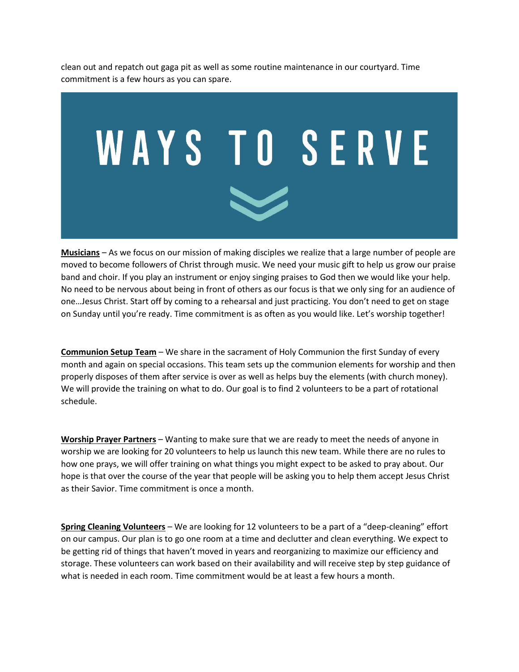clean out and repatch out gaga pit as well as some routine maintenance in our courtyard. Time commitment is a few hours as you can spare.



**Musicians** – As we focus on our mission of making disciples we realize that a large number of people are moved to become followers of Christ through music. We need your music gift to help us grow our praise band and choir. If you play an instrument or enjoy singing praises to God then we would like your help. No need to be nervous about being in front of others as our focus is that we only sing for an audience of one…Jesus Christ. Start off by coming to a rehearsal and just practicing. You don't need to get on stage on Sunday until you're ready. Time commitment is as often as you would like. Let's worship together!

**Communion Setup Team** – We share in the sacrament of Holy Communion the first Sunday of every month and again on special occasions. This team sets up the communion elements for worship and then properly disposes of them after service is over as well as helps buy the elements (with church money). We will provide the training on what to do. Our goal is to find 2 volunteers to be a part of rotational schedule.

**Worship Prayer Partners** – Wanting to make sure that we are ready to meet the needs of anyone in worship we are looking for 20 volunteers to help us launch this new team. While there are no rules to how one prays, we will offer training on what things you might expect to be asked to pray about. Our hope is that over the course of the year that people will be asking you to help them accept Jesus Christ as their Savior. Time commitment is once a month.

**Spring Cleaning Volunteers** – We are looking for 12 volunteers to be a part of a "deep-cleaning" effort on our campus. Our plan is to go one room at a time and declutter and clean everything. We expect to be getting rid of things that haven't moved in years and reorganizing to maximize our efficiency and storage. These volunteers can work based on their availability and will receive step by step guidance of what is needed in each room. Time commitment would be at least a few hours a month.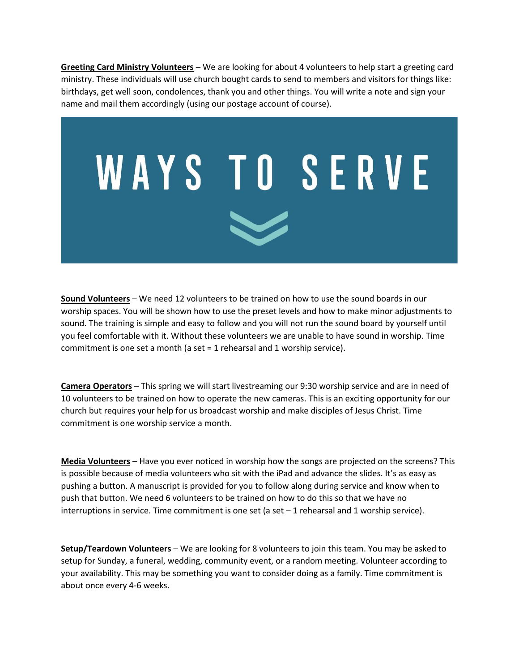**Greeting Card Ministry Volunteers** – We are looking for about 4 volunteers to help start a greeting card ministry. These individuals will use church bought cards to send to members and visitors for things like: birthdays, get well soon, condolences, thank you and other things. You will write a note and sign your name and mail them accordingly (using our postage account of course).



**Sound Volunteers** – We need 12 volunteers to be trained on how to use the sound boards in our worship spaces. You will be shown how to use the preset levels and how to make minor adjustments to sound. The training is simple and easy to follow and you will not run the sound board by yourself until you feel comfortable with it. Without these volunteers we are unable to have sound in worship. Time commitment is one set a month (a set = 1 rehearsal and 1 worship service).

**Camera Operators** – This spring we will start livestreaming our 9:30 worship service and are in need of 10 volunteers to be trained on how to operate the new cameras. This is an exciting opportunity for our church but requires your help for us broadcast worship and make disciples of Jesus Christ. Time commitment is one worship service a month.

**Media Volunteers** – Have you ever noticed in worship how the songs are projected on the screens? This is possible because of media volunteers who sit with the iPad and advance the slides. It's as easy as pushing a button. A manuscript is provided for you to follow along during service and know when to push that button. We need 6 volunteers to be trained on how to do this so that we have no interruptions in service. Time commitment is one set (a set  $-1$  rehearsal and 1 worship service).

**Setup/Teardown Volunteers** – We are looking for 8 volunteers to join this team. You may be asked to setup for Sunday, a funeral, wedding, community event, or a random meeting. Volunteer according to your availability. This may be something you want to consider doing as a family. Time commitment is about once every 4-6 weeks.